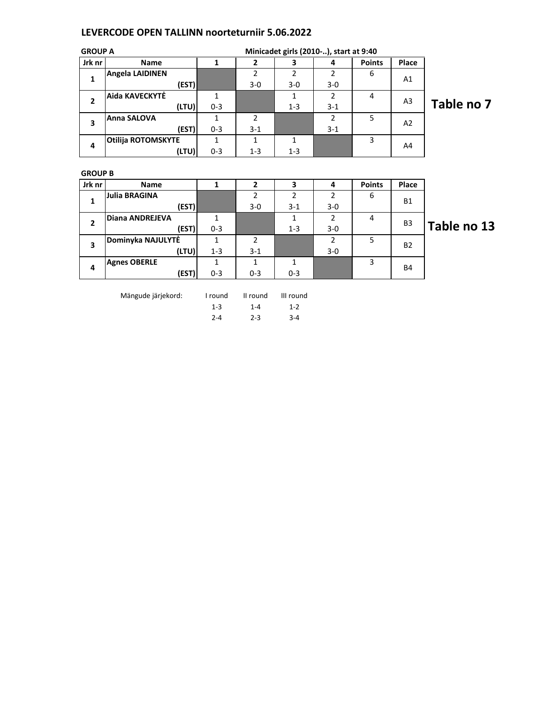## LEVERCODE OPEN TALLINN noorteturniir 5.06.2022

| <b>GROUP A</b> |                           | Minicadet girls (2010-), start at 9:40 |         |         |         |               |                |              |
|----------------|---------------------------|----------------------------------------|---------|---------|---------|---------------|----------------|--------------|
| Jrk nr         | <b>Name</b>               |                                        |         | 3       | 4       | <b>Points</b> | Place          |              |
| 1              | <b>Angela LAIDINEN</b>    |                                        |         |         |         | 6             | A1             |              |
|                | (EST)                     |                                        | $3-0$   | $3-0$   | $3 - 0$ |               |                |              |
| $\overline{2}$ | Aida KAVECKYTĖ            |                                        |         |         |         | 4             | A3             |              |
|                | (LTU)                     | $0 - 3$                                |         | $1 - 3$ | $3 - 1$ |               |                | <b>Table</b> |
| 3              | <b>Anna SALOVA</b>        |                                        | 2       |         | າ       | 5             | A <sub>2</sub> |              |
|                | (EST)                     | $0 - 3$                                | $3 - 1$ |         | $3 - 1$ |               |                |              |
| 4              | <b>Otilija ROTOMSKYTE</b> |                                        |         |         |         | 3             | A4             |              |
|                | (LTU)                     | $0 - 3$                                | $1 - 3$ | $1 - 3$ |         |               |                |              |

GROUP B

| Jrk nr | Name                   |         |         | 3             | 4       | <b>Points</b> | Place          |    |
|--------|------------------------|---------|---------|---------------|---------|---------------|----------------|----|
| 1      | <b>Julia BRAGINA</b>   |         | 2       | $\mathcal{P}$ | 2       | 6             | <b>B1</b>      |    |
|        | (EST)                  |         | $3 - 0$ | $3 - 1$       | $3 - 0$ |               |                |    |
| 2      | <b>Diana ANDREJEVA</b> |         |         | 1             | 2       | 4             | B <sub>3</sub> |    |
|        | (EST)                  | $0 - 3$ |         | $1 - 3$       | $3 - 0$ |               |                | al |
| 3      | Dominyka NAJULYTĖ      |         | C       |               | 2       | 5             | <b>B2</b>      |    |
|        | (LTU)                  | $1 - 3$ | $3-1$   |               | $3 - 0$ |               |                |    |
| 4      | <b>Agnes OBERLE</b>    |         | 1       | 1             |         | 3             | <b>B4</b>      |    |
|        | (EST)                  | $0 - 3$ | $0 - 3$ | $0 - 3$       |         |               |                |    |

Mängude järjekord: I round II round III round

1-3 1-4 1-2 2-4 2-3 3-4

## no 7

ble no 13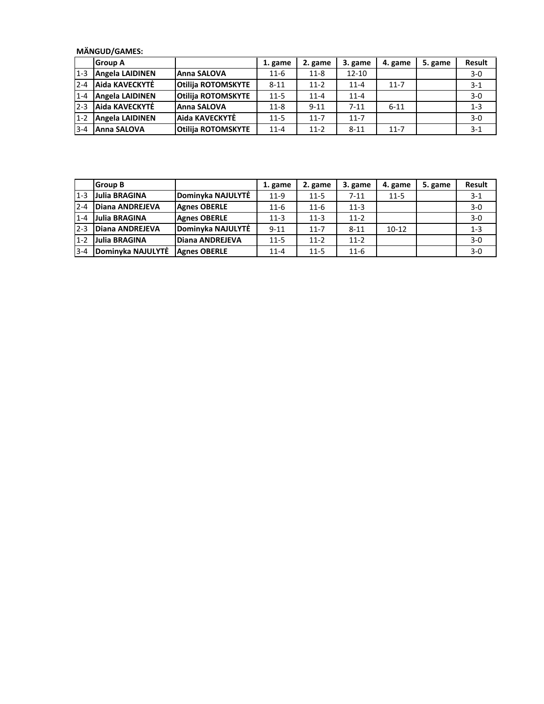MÄNGUD/GAMES:

|         | <b>Group A</b>         |                           | 1. game  | 2. game  | 3. game   | 4. game  | 5. game | <b>Result</b> |
|---------|------------------------|---------------------------|----------|----------|-----------|----------|---------|---------------|
| $1 - 3$ | <b>Angela LAIDINEN</b> | <b>Anna SALOVA</b>        | $11-6$   | $11 - 8$ | $12 - 10$ |          |         | $3-0$         |
| $2 - 4$ | Aida KAVECKYTĖ         | <b>Otilija ROTOMSKYTE</b> | $8 - 11$ | $11 - 2$ | $11 - 4$  | $11 - 7$ |         | $3 - 1$       |
| $1 - 4$ | Angela LAIDINEN        | <b>Otilija ROTOMSKYTE</b> | $11 - 5$ | $11 - 4$ | $11 - 4$  |          |         | $3-0$         |
| $2 - 3$ | Aida KAVECKYTĖ         | Anna SALOVA               | $11 - 8$ | $9 - 11$ | $7 - 11$  | $6 - 11$ |         | $1 - 3$       |
| $1 - 2$ | <b>Angela LAIDINEN</b> | Aida KAVECKYTĖ            | $11 - 5$ | $11 - 7$ | $11 - 7$  |          |         | $3-0$         |
| $3 - 4$ | <b>Anna SALOVA</b>     | <b>Otilija ROTOMSKYTE</b> | $11 - 4$ | $11 - 2$ | $8 - 11$  | $11 - 7$ |         | $3-1$         |

|         | <b>Group B</b>    |                        | 1. game  | 2. game  | 3. game  | 4. game   | 5. game | <b>Result</b> |
|---------|-------------------|------------------------|----------|----------|----------|-----------|---------|---------------|
| $1 - 3$ | Julia BRAGINA     | Dominyka NAJULYTĖ      | $11-9$   | $11 - 5$ | $7 - 11$ | $11 - 5$  |         | $3 - 1$       |
| $2 - 4$ | Diana ANDREJEVA   | <b>Agnes OBERLE</b>    | $11-6$   | $11 - 6$ | $11 - 3$ |           |         | $3-0$         |
| $1 - 4$ | Julia BRAGINA     | <b>Agnes OBERLE</b>    | $11-3$   | $11 - 3$ | $11-2$   |           |         | $3-0$         |
| $2 - 3$ | Diana ANDREJEVA   | Dominyka NAJULYTĖ      | $9 - 11$ | $11 - 7$ | $8 - 11$ | $10 - 12$ |         | $1 - 3$       |
| $1 - 2$ | Julia BRAGINA     | <b>Diana ANDREJEVA</b> | $11 - 5$ | $11-2$   | $11-2$   |           |         | $3-0$         |
| $3 - 4$ | Dominyka NAJULYTĖ | <b>Agnes OBERLE</b>    | $11 - 4$ | $11 - 5$ | $11-6$   |           |         | $3-0$         |